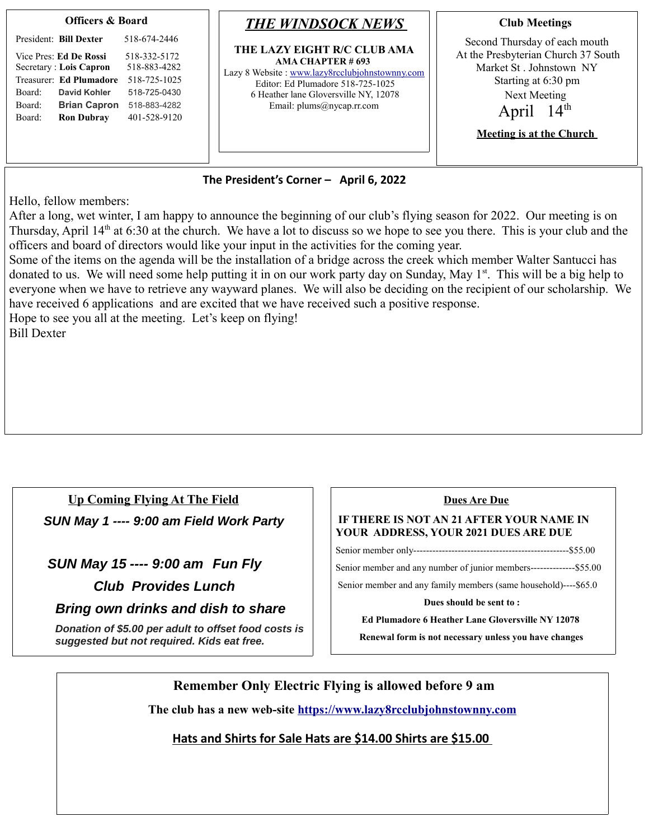| <b>Officers &amp; Board</b>                                                                                                                                                                      |                                                                                                              | <b>THE WINDSOCK NEWS</b>                                                                                                                                                                                      | <b>Club Meetings</b>                                                                                                                                                                      |
|--------------------------------------------------------------------------------------------------------------------------------------------------------------------------------------------------|--------------------------------------------------------------------------------------------------------------|---------------------------------------------------------------------------------------------------------------------------------------------------------------------------------------------------------------|-------------------------------------------------------------------------------------------------------------------------------------------------------------------------------------------|
| President: Bill Dexter<br>Vice Pres: Ed De Rossi<br>Secretary : Lois Capron<br>Treasurer: Ed Plumadore<br>Board:<br>David Kohler<br><b>Brian Capron</b><br>Board:<br><b>Ron Dubray</b><br>Board: | 518-674-2446<br>518-332-5172<br>518-883-4282<br>518-725-1025<br>518-725-0430<br>518-883-4282<br>401-528-9120 | THE LAZY EIGHT R/C CLUB AMA<br>AMA CHAPTER # 693<br>Lazy 8 Website: www.lazy8rcclubjohnstownny.com<br>Editor: Ed Plumadore 518-725-1025<br>6 Heather lane Gloversville NY, 12078<br>Email: plums@nycap.rr.com | Second Thursday of each mouth<br>At the Presbyterian Church 37 South<br>Market St. Johnstown NY<br>Starting at 6:30 pm<br>Next Meeting<br>April $14th$<br><b>Meeting is at the Church</b> |

## **The President's Corner – April 6, 2022**

Hello, fellow members:

After a long, wet winter, I am happy to announce the beginning of our club's flying season for 2022. Our meeting is on Thursday, April  $14<sup>th</sup>$  at 6:30 at the church. We have a lot to discuss so we hope to see you there. This is your club and the officers and board of directors would like your input in the activities for the coming year.

Some of the items on the agenda will be the installation of a bridge across the creek which member Walter Santucci has donated to us. We will need some help putting it in on our work party day on Sunday, May 1<sup>st</sup>. This will be a big help to everyone when we have to retrieve any wayward planes. We will also be deciding on the recipient of our scholarship. We have received 6 applications and are excited that we have received such a positive response.

Hope to see you all at the meeting. Let's keep on flying! Bill Dexter

## **Up Coming Flying At The Field**

**SUN May 1 ---- 9:00 am Field Work Party**

 **SUN May 15 ---- 9:00 am Fun Fly**

 **Club Provides Lunch** 

 **Bring own drinks and dish to share** 

**Donation of \$5.00 per adult to offset food costs is suggested but not required. Kids eat free.**

## **Dues Are Due**

## **IF THERE IS NOT AN 21 AFTER YOUR NAME IN YOUR ADDRESS, YOUR 2021 DUES ARE DUE**

Senior member only-------------------------------------------------\$55.00

Senior member and any number of junior members--------------\$55.00

Senior member and any family members (same household)----\$65.0

**Dues should be sent to :** 

 **Ed Plumadore 6 Heather Lane Gloversville NY 12078** 

 **Renewal form is not necessary unless you have changes**

**Remember Only Electric Flying is allowed before 9 am** 

**The club has a new web-site [https://www.lazy8rcclubjohnstownny.com](https://www.lazy8rcclubjohnstownny.com/)**

**Hats and Shirts for Sale Hats are \$14.00 Shirts are \$15.00**